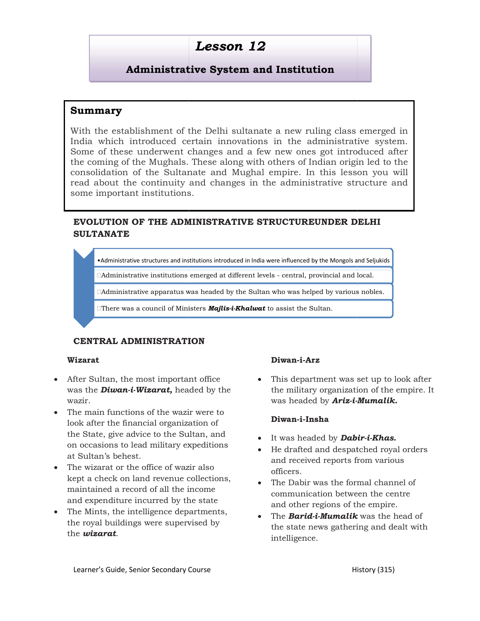## Lesson 12

### Administrative System and Institution

### Summary

With the establishment of the Delhi sultanate a new ruling class emerged in India which introduced certain innovations in the administrative system. Some of these underwent changes and a few new ones got introduced after the coming of the Mughals. These along with others of Indian origin led to the consolidation of the Sultanate and Mughal empire. In this lesson you will read about the continuity and changes in the administrative structure and some important institutions. the establishment of the Delhi sultanate a new ruling class emery<br>which introduced certain innovations in the administrative sy<br>of these underwent changes and a few new ones got introduced<br>oming of the Mughals. These along the establishment of the Delhi sultanate a new ruling class emery<br>which introduced certain innovations in the administrative sy<br>of the Sultar underwent changes and a few new ones got introduced<br>infidation of the Sultanate

### EVOLUTION OF THE ADMINISTRATIVE STRUCTUREUNDER DELHI SULTANATE

• Administrative structures and institutions introduced in India were influenced by the Mongols and Seljukids |

□Administrative institutions emerged at different levels - central, provincial and local.

 $\Box$ Administrative apparatus was headed by the Sultan who was helped by various nobles.

 $\Box$ There was a council of Ministers **Majlis-i-Khalwat** to assist the Sultan.

### CENTRAL ADMINISTRATION

### Wizarat

- After Sultan, the most important office was the **Diwan-i-Wizarat**, headed by the wazir.
- The main functions of the wazir were to look after the financial organization of the State, give advice to the Sultan, and on occasions to lead military expeditions at Sultan's behest. Sultan, the most important office<br>
the **Diwan-i-Wizarat,** headed by the the milions of the wazir were to<br>
a the financial organization of<br>
tate, give advice to the Sultan, and<br>
casions to lead military expeditions<br>
tan's
- The wizarat or the office of wazir also kept a check on land revenue collections, maintained a record of all the income and expenditure incurred by the
- The Mints, the intelligence departments, the royal buildings were supervised by the wizarat.

**Diwan-i-Arz**<br>
supervised by the the military organization of the empire. It<br>
was headed by **Ariz-i-Mumalik.**<br>
e wazir were to<br>
ganization of<br>
the Sultan, and<br>
the Sultan, and<br> **Diwan-i-Insha**<br> **Diwan-i-Insha**<br> **Diwan-i-In** the military organization of the empire. It was headed by **Ariz-i-Mumalik.** • This department was set up to look after riz-i-Mumalik.<br>Dabir-i-Khas.

### Diwan-i-Insha

- It was headed by **Dabir-i-Khas.**
- He drafted and despatched royal orders and received reports from various officers. He drafted and despatched royal orders<br>and received reports from various<br>officers.<br>The Dabir was the formal channel of<br>communication between the centre<br>and other regions of the empire.
- The Dabir was the formal channel of communication between the centre and other regions of the empire.
- The *Barid-i-Mumalik* was the head of the state news gathering and dealt with intelligence.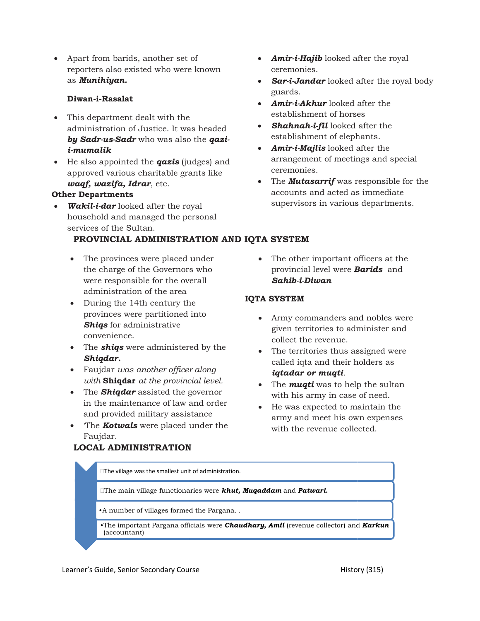• Apart from barids, another set of reporters also existed who were known as Munihiyan.

### Diwan-i-Rasalat

- This department dealt with the administration of Justice. It was headed by Sadr-us-Sadr who was also the qazi-  $\rm ^{e}$   $\rm ^{e}$   $\rm ^{e}$   $\rm ^{e}$   $\rm ^{e}$   $\rm ^{e}$   $\rm ^{e}$ i-mumalik
- $\bullet$  He also appointed the **qazis** (judges) and approved various charitable grants like waqf, wazifa, Idrar, etc.

### Other Departments

Wakil-i-dar looked after the royal household and managed the personal services of the Sultan.

### PROVINCIAL ADMINISTRATION AND IQTA SYSTEM

- The provinces were placed under The ot the charge of the Governors who sproving were responsible for the overall administration of the area
- During the 14th century the provinces were partitioned into **Shiqs** for administrative convenience.
- The **shiqs** were administered by the Shiqdar.
- Faujdar was another officer along with **Shiqdar** at the provincial level.
- The **Shiqdar** assisted the governor in the maintenance of law and order and provided military assistance
- The **Kotwals** were placed under the Faujdar.
- Amir-i-Hajib looked after the royal ceremonies.
- Sar-i-Jandar looked after the royal body guards.
- **Amir-i-Akhur** looked after the establishment of horses
- Shahnah-i-fil looked after the establishment of elephants.
- **Amir-i-Majlis** looked after the arrangement of meetings and special ceremonies.
- the results of the royal of the royal of the royal of the royal of the royal of the royal of the royal of the royal  $\mathbf{A}\mathbf{m}\mathbf{i}\mathbf{r}\mathbf{i}\mathbf{A}\mathbf{k}\mathbf{h}\mathbf{u}$  looked after the royal body guards.<br>
Amir-i-Akhur looked af • The **Mutasarrif** was responsible for the accounts and acted as immediate supervisors in various departments. t of meetings and special<br> **and interpretent** for the<br>
d acted as immediate<br>
in various departments.<br>
portant officers at the<br>
vel were **Barids** and
	- provincial level were **Barids** and Sahib-i-Diwan

### IQTA SYSTEM

- Army commanders and nobles were given territories to administer and collect the revenue.
- were placed under<br>
the Governors who<br>
ble for the overall<br>
of the area<br>
of the area<br>
of the area<br>
of the area<br>
provincial level were **Barids** and<br>
of the carea<br>
provincial level<br> **IQTA SYSTEM**<br> **IQTA SYSTEM**<br> **IQTA SYSTEM** • The territories thus assigned were called iqta and their holders as iqtadar or muqti.
	- The  $muqti$  was to help the sultan with his army in case of need.  $\hspace{0.1mm}$
	- He was expected to maintain the He was expected to maintain the<br>army and meet his own expenses with the revenue collected.

# The village was the smallest unit of administration.  $\Box$ The main village functionaries were  $\bm{k}$ hut, Mu $\bm{q}$ addam and Patwari.  $\qquad \qquad \qquad \blacksquare$

LOCAL ADMINISTRATION LOCAL ADMINISTRATION

- A number of villages formed the Pargana. .  $\blacksquare$
- •The important Pargana officials were **Chaudhary, Amil** (revenue collector) and  $Karkun$ (accountant)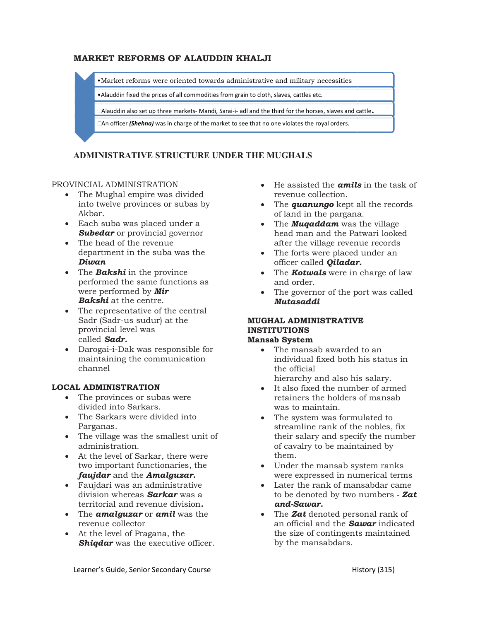### MARKET REFORMS OF ALAUDDIN KHALJI

•Market reforms were oriented towards administrative and military Market necessities

• Alauddin fixed the prices of all commodities from grain to cloth, slaves, cattles etc.

 $\square$ Alauddin also set up three markets- Mandi, Sarai-i- adl and the third for the horses, slaves and cattle. ET REFORMS OF ALAUDDIN KHALJI<br>Market reforms were oriented towards administrative and military necessities<br>Alauddin fixed the prices of all commodities from grain to cloth, slaves, cattles etc.<br>And third for the horses, sl

□An officer (Shehna) was in charge of the market to see that no one violates the royal orders.

### ADMINISTRATIVE STRUCTURE UNDER THE MUGHALS

### PROVINCIAL ADMINISTRATION

- The Mughal empire was divided into twelve provinces or subas by Akbar.
- Each suba was placed under a **Subedar** or provincial governor **provincial provincial** provincial and provincial provincial management of  $\mathbf{R}$
- The head of the revenue department in the suba was the Diwan
- The **Bakshi** in the province performed the same functions as were performed by Mir **Bakshi** at the centre. in the suba was the<br>  $i$  in the province<br>
the same functions as<br>
med by **Mir**<br>
the centre.<br>
intative of the central<br>
us sudur) at the<br> **MUGI**
- The representative of the central Sadr (Sadr-us sudur) at the provincial level was called Sadr.
- Darogai-i-Dak was responsible for maintaining the communication channel

### LOCAL ADMINISTRATION

- The provinces or subas were divided into Sarkars.
- The Sarkars were divided into Parganas.
- The village was the smallest unit of administration.
- At the level of Sarkar, there were two important functionaries, the faujdar and the Amalguzar.  $\hskip10mm$  w village was the smallest unit<br>inistration.<br>ne level of Sarkar, there were<br>important functionaries, the
- Faujdari was an administrative division whereas **Sarkar** was a **was** to territorial and revenue division
- $\bullet$  The **amalguzar** or **amil** was the revenue collector
- At the level of Pragana, the **Shiqdar** was the executive officer.
- revenue collection.  $\bullet$  He assisted the **amils** in the task of
- The *quanungo* kept all the records of land in the pargana.
- $\bullet$  The **Muqaddam** was the village head man and the Patwari looked after the village revenue records after the village revenue records<br>• The forts were placed under an
- officer called Qiladar.
- The  $Kotwals$  were in charge of law and order.
- The governor of the port was called<br> **GHAL ADMINISTRATIVE**<br> **GHAL ADMINISTRATIVE**<br> **nsab System<br>
•** The mansab awarded to an<br>
individual fixed both his status in Mutasaddi

### MUGHAL ADMINISTRATIVE INSTITUTIONS

### Mansab System

- The mansab awarded to an individual fixed both his status in the official hierarchy and also his salary.
- It also fixed the number of armed retainers the holders of holders of mansab was to maintain.
- were divided The system was formulated to Fe assisted the **amils** in the task of<br>
revenue collection.<br>
The **quantungo** kept all the records<br>
of land in the pargana.<br>
The **Muqaddam** was the village<br>
ama and the Patwari looked<br>
after the village revenue records<br>
of The system was formulated to<br>streamline rank of the nobles, fix their salary and specify the number<br>of cavalry to be maintained by of cavalry to be maintained them.
	- Under the mansab system ranks were expressed in numerical terms
	- Later the rank of mansabdar came were expressed in numerical terms<br>Later the rank of mansabdar came<br>to be denoted by two numbers - **Zat** and-Sawar.
	- The **Zat** denoted personal rank of an official and the **Sawar** indicated the size of contingents maintained by the mansabdars.